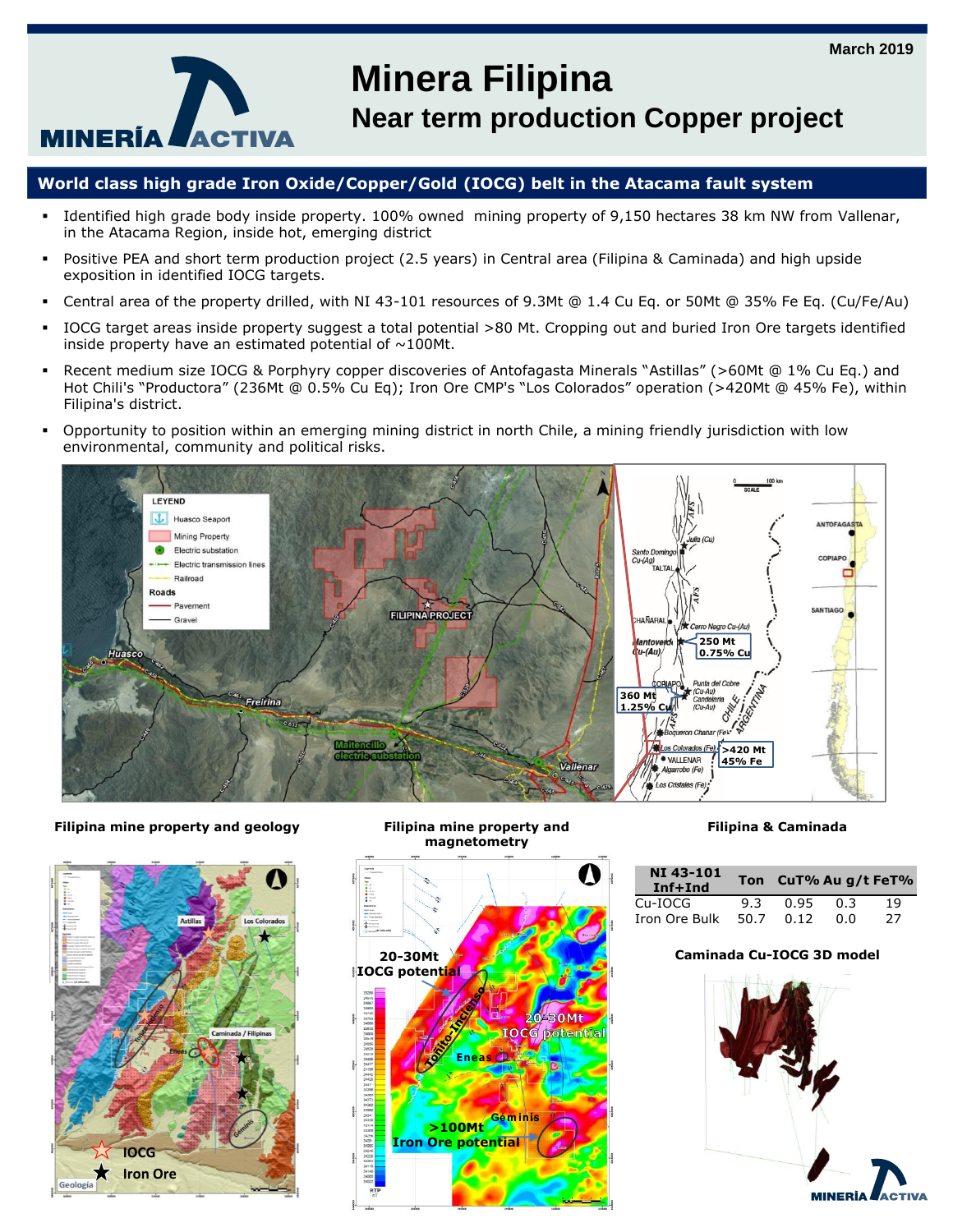

# **Minera Filipina**

**Near term production Copper project**

# **World class high grade Iron Oxide/Copper/Gold (IOCG) belt in the Atacama fault system**

- Identified high grade body inside property. 100% owned mining property of 9,150 hectares 38 km NW from Vallenar, in the Atacama Region, inside hot, emerging district
- Positive PEA and short term production project (2.5 years) in Central area (Filipina & Caminada) and high upside exposition in identified IOCG targets.
- Central area of the property drilled, with NI 43-101 resources of 9.3Mt @ 1.4 Cu Eq. or 50Mt @ 35% Fe Eq. (Cu/Fe/Au)
- IOCG target areas inside property suggest a total potential >80 Mt. Cropping out and buried Iron Ore targets identified inside property have an estimated potential of  $\sim$ 100Mt.
- Recent medium size IOCG & Porphyry copper discoveries of Antofagasta Minerals "Astillas" (>60Mt @ 1% Cu Eq.) and Hot Chili's "Productora" (236Mt @ 0.5% Cu Eq); Iron Ore CMP's "Los Colorados" operation (>420Mt @ 45% Fe), within Filipina's district.
- Opportunity to position within an emerging mining district in north Chile, a mining friendly jurisdiction with low environmental, community and political risks.







### **Filipina & Caminada**

| <b>NI 43-101</b><br>Inf+Ind |      | Ton CuT% Au g/t FeT% |     |    |
|-----------------------------|------|----------------------|-----|----|
| $Cu-IOCG$                   | 9.3  | 0.95                 | 0.3 | 19 |
| Iron Ore Bulk               | 50.7 | 0.12                 | 0.O | 27 |

### **Caminada Cu-IOCG 3D model**